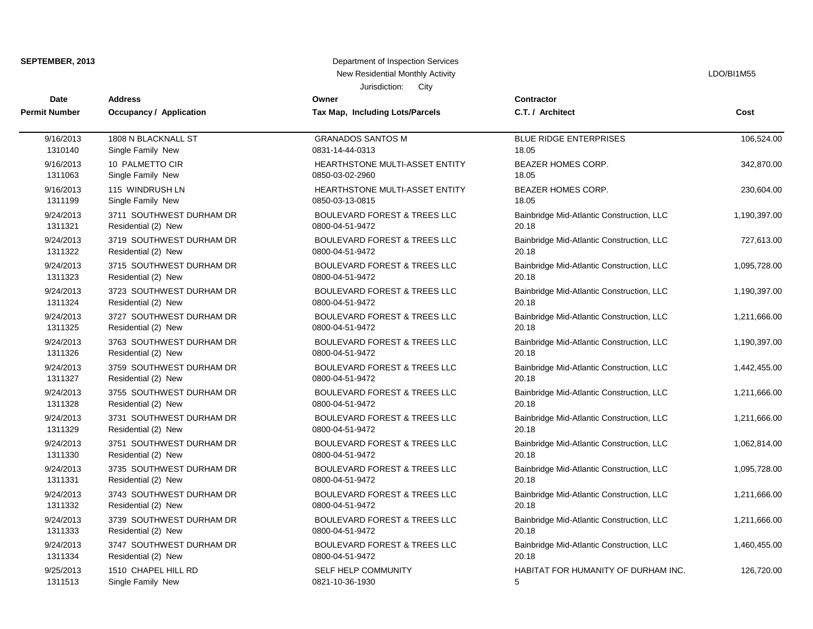| SEPTEMBER, 2013      |                          | Department of Inspection Services       |                                           |              |
|----------------------|--------------------------|-----------------------------------------|-------------------------------------------|--------------|
|                      |                          | New Residential Monthly Activity        |                                           | LDO/BI1M55   |
|                      |                          | Jurisdiction:<br>City                   |                                           |              |
| Date                 | <b>Address</b>           | Owner                                   | Contractor                                |              |
| <b>Permit Number</b> | Occupancy / Application  | Tax Map, Including Lots/Parcels         | C.T. / Architect                          | Cost         |
| 9/16/2013            | 1808 N BLACKNALL ST      | <b>GRANADOS SANTOS M</b>                | <b>BLUE RIDGE ENTERPRISES</b>             | 106,524.00   |
| 1310140              | Single Family New        | 0831-14-44-0313                         | 18.05                                     |              |
| 9/16/2013            | 10 PALMETTO CIR          | HEARTHSTONE MULTI-ASSET ENTITY          | BEAZER HOMES CORP.                        | 342,870.00   |
| 1311063              | Single Family New        | 0850-03-02-2960                         | 18.05                                     |              |
| 9/16/2013            | 115 WINDRUSH LN          | HEARTHSTONE MULTI-ASSET ENTITY          | BEAZER HOMES CORP.                        | 230,604.00   |
| 1311199              | Single Family New        | 0850-03-13-0815                         | 18.05                                     |              |
| 9/24/2013            | 3711 SOUTHWEST DURHAM DR | BOULEVARD FOREST & TREES LLC            | Bainbridge Mid-Atlantic Construction, LLC | 1,190,397.00 |
| 1311321              | Residential (2) New      | 0800-04-51-9472                         | 20.18                                     |              |
| 9/24/2013            | 3719 SOUTHWEST DURHAM DR | <b>BOULEVARD FOREST &amp; TREES LLC</b> | Bainbridge Mid-Atlantic Construction, LLC | 727,613.00   |
| 1311322              | Residential (2) New      | 0800-04-51-9472                         | 20.18                                     |              |
| 9/24/2013            | 3715 SOUTHWEST DURHAM DR | <b>BOULEVARD FOREST &amp; TREES LLC</b> | Bainbridge Mid-Atlantic Construction, LLC | 1,095,728.00 |
| 1311323              | Residential (2) New      | 0800-04-51-9472                         | 20.18                                     |              |
| 9/24/2013            | 3723 SOUTHWEST DURHAM DR | BOULEVARD FOREST & TREES LLC            | Bainbridge Mid-Atlantic Construction, LLC | 1,190,397.00 |
| 1311324              | Residential (2) New      | 0800-04-51-9472                         | 20.18                                     |              |
| 9/24/2013            | 3727 SOUTHWEST DURHAM DR | <b>BOULEVARD FOREST &amp; TREES LLC</b> | Bainbridge Mid-Atlantic Construction, LLC | 1,211,666.00 |
| 1311325              | Residential (2) New      | 0800-04-51-9472                         | 20.18                                     |              |
| 9/24/2013            | 3763 SOUTHWEST DURHAM DR | BOULEVARD FOREST & TREES LLC            | Bainbridge Mid-Atlantic Construction, LLC | 1,190,397.00 |
| 1311326              | Residential (2) New      | 0800-04-51-9472                         | 20.18                                     |              |
| 9/24/2013            | 3759 SOUTHWEST DURHAM DR | <b>BOULEVARD FOREST &amp; TREES LLC</b> | Bainbridge Mid-Atlantic Construction, LLC | 1,442,455.00 |
| 1311327              | Residential (2) New      | 0800-04-51-9472                         | 20.18                                     |              |
| 9/24/2013            | 3755 SOUTHWEST DURHAM DR | <b>BOULEVARD FOREST &amp; TREES LLC</b> | Bainbridge Mid-Atlantic Construction, LLC | 1,211,666.00 |
| 1311328              | Residential (2) New      | 0800-04-51-9472                         | 20.18                                     |              |
| 9/24/2013            | 3731 SOUTHWEST DURHAM DR | BOULEVARD FOREST & TREES LLC            | Bainbridge Mid-Atlantic Construction, LLC | 1,211,666.00 |
| 1311329              | Residential (2) New      | 0800-04-51-9472                         | 20.18                                     |              |
| 9/24/2013            | 3751 SOUTHWEST DURHAM DR | BOULEVARD FOREST & TREES LLC            | Bainbridge Mid-Atlantic Construction, LLC | 1,062,814.00 |
| 1311330              | Residential (2) New      | 0800-04-51-9472                         | 20.18                                     |              |
| 9/24/2013            | 3735 SOUTHWEST DURHAM DR | <b>BOULEVARD FOREST &amp; TREES LLC</b> | Bainbridge Mid-Atlantic Construction, LLC | 1,095,728.00 |
| 1311331              | Residential (2) New      | 0800-04-51-9472                         | 20.18                                     |              |
| 9/24/2013            | 3743 SOUTHWEST DURHAM DR | BOULEVARD FOREST & TREES LLC            | Bainbridge Mid-Atlantic Construction, LLC | 1,211,666.00 |
| 1311332              | Residential (2) New      | 0800-04-51-9472                         | 20.18                                     |              |
| 9/24/2013            | 3739 SOUTHWEST DURHAM DR | BOULEVARD FOREST & TREES LLC            | Bainbridge Mid-Atlantic Construction, LLC | 1,211,666.00 |
| 1311333              | Residential (2) New      | 0800-04-51-9472                         | 20.18                                     |              |
| 9/24/2013            | 3747 SOUTHWEST DURHAM DR | BOULEVARD FOREST & TREES LLC            | Bainbridge Mid-Atlantic Construction, LLC | 1,460,455.00 |
| 1311334              | Residential (2) New      | 0800-04-51-9472                         | 20.18                                     |              |
| 9/25/2013            | 1510 CHAPEL HILL RD      | SELF HELP COMMUNITY                     | HABITAT FOR HUMANITY OF DURHAM INC.       | 126,720.00   |
| 1311513              | Single Family New        | 0821-10-36-1930                         | 5                                         |              |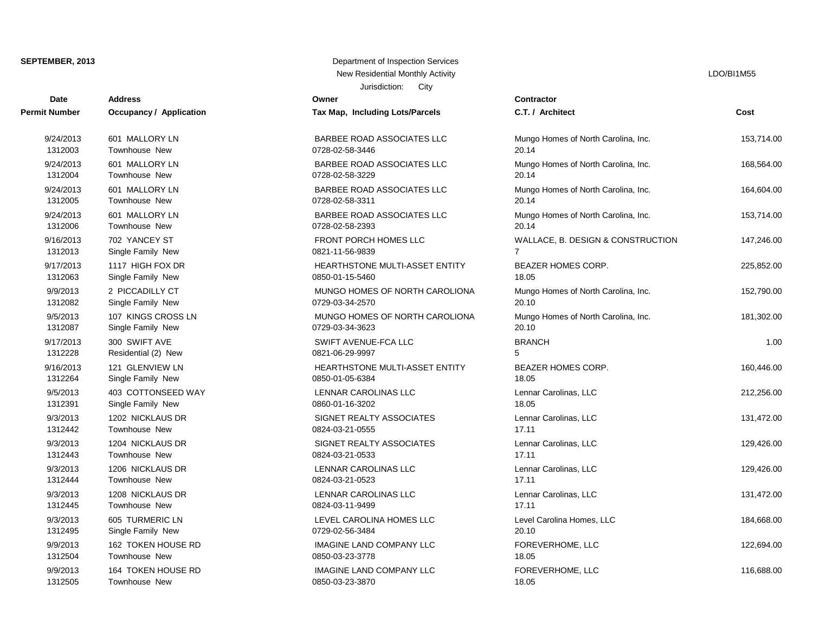| <b>Date</b>          | <b>Address</b>                 | Owner                           | <b>Contractor</b> |
|----------------------|--------------------------------|---------------------------------|-------------------|
| <b>Permit Number</b> | <b>Occupancy / Application</b> | Tax Map, Including Lots/Parcels | C.T. / Arch       |
| 9/24/2013            | 601 MALLORY LN                 | BARBEE ROAD ASSOCIATES LLC      | Mungo Hon         |
| 1312003              | <b>Townhouse New</b>           | 0728-02-58-3446                 | 20.14             |
| 9/24/2013            | 601 MALLORY LN                 | BARBEE ROAD ASSOCIATES LLC      | Mungo Hon         |
| 1312004              | Townhouse New                  | 0728-02-58-3229                 | 20.14             |
| 9/24/2013            | 601 MALLORY LN                 | BARBEE ROAD ASSOCIATES LLC      | Mungo Hon         |
| 1312005              | <b>Townhouse New</b>           | 0728-02-58-3311                 | 20.14             |
| 9/24/2013            | 601 MALLORY LN                 | BARBEE ROAD ASSOCIATES LLC      | Mungo Hon         |
| 1312006              | <b>Townhouse New</b>           | 0728-02-58-2393                 | 20.14             |
| 9/16/2013            | 702 YANCEY ST                  | <b>FRONT PORCH HOMES LLC</b>    | WALLACE,          |
| 1312013              | Single Family New              | 0821-11-56-9839                 | $\overline{7}$    |
| 9/17/2013            | 1117 HIGH FOX DR               | HEARTHSTONE MULTI-ASSET ENTITY  | <b>BEAZER H</b>   |
| 1312063              | Single Family New              | 0850-01-15-5460                 | 18.05             |
| 9/9/2013             | 2 PICCADILLY CT                | MUNGO HOMES OF NORTH CAROLIONA  | Mungo Hon         |
| 1312082              | Single Family New              | 0729-03-34-2570                 | 20.10             |
| 9/5/2013             | 107 KINGS CROSS LN             | MUNGO HOMES OF NORTH CAROLIONA  | Mungo Hon         |
| 1312087              | Single Family New              | 0729-03-34-3623                 | 20.10             |
| 9/17/2013            | 300 SWIFT AVE                  | SWIFT AVENUE-FCA LLC            | <b>BRANCH</b>     |
| 1312228              | Residential (2) New            | 0821-06-29-9997                 | 5                 |
| 9/16/2013            | 121 GLENVIEW LN                | HEARTHSTONE MULTI-ASSET ENTITY  | <b>BEAZER H</b>   |
| 1312264              | Single Family New              | 0850-01-05-6384                 | 18.05             |
| 9/5/2013             | 403 COTTONSEED WAY             | <b>LENNAR CAROLINAS LLC</b>     | Lennar Car        |
| 1312391              | Single Family New              | 0860-01-16-3202                 | 18.05             |
| 9/3/2013             | 1202 NICKLAUS DR               | SIGNET REALTY ASSOCIATES        | Lennar Car        |
| 1312442              | Townhouse New                  | 0824-03-21-0555                 | 17.11             |
| 9/3/2013             | 1204 NICKLAUS DR               | SIGNET REALTY ASSOCIATES        | Lennar Car        |
| 1312443              | <b>Townhouse New</b>           | 0824-03-21-0533                 | 17.11             |
| 9/3/2013             | 1206 NICKLAUS DR               | LENNAR CAROLINAS LLC            | Lennar Car        |
| 1312444              | Townhouse New                  | 0824-03-21-0523                 | 17.11             |
| 9/3/2013             | 1208 NICKLAUS DR               | LENNAR CAROLINAS LLC            | Lennar Car        |
| 1312445              | <b>Townhouse New</b>           | 0824-03-11-9499                 | 17.11             |
| 9/3/2013             | 605 TURMERIC LN                | LEVEL CAROLINA HOMES LLC        | Level Carol       |
| 1312495              | Single Family New              | 0729-02-56-3484                 | 20.10             |
| 9/9/2013             | 162 TOKEN HOUSE RD             | <b>IMAGINE LAND COMPANY LLC</b> | <b>FOREVERI</b>   |
| 1312504              | Townhouse New                  | 0850-03-23-3778                 | 18.05             |
| 9/9/2013             | 164 TOKEN HOUSE RD             | <b>IMAGINE LAND COMPANY LLC</b> | <b>FOREVERI</b>   |
| 1312505              | Townhouse New                  | 0850-03-23-3870                 | 18.05             |

## Jurisdiction: City **SEPTEMBER, 2013** Department of Inspection Services New Residential Monthly Activity **LACTION** CONSULTER THE RESIDENT OF THE RESIDENT OF THE RESIDENT OF THE RESIDENT OF THE RESIDENT OF THE RESIDENT OF THE RESIDENT OF THE RESIDENT OF THE RESIDENT OF THE RESIDENT OF THE RESID

| Contractor                                   |            |
|----------------------------------------------|------------|
| C.T. / Architect                             | Cost       |
| Mungo Homes of North Carolina, Inc.<br>20.14 | 153,714.00 |
| Mungo Homes of North Carolina, Inc.<br>20.14 | 168,564.00 |
| Mungo Homes of North Carolina, Inc.<br>20.14 | 164,604.00 |
| Mungo Homes of North Carolina, Inc.<br>20.14 | 153,714.00 |
| WALLACE, B. DESIGN & CONSTRUCTION<br>7       | 147,246.00 |
| <b>BEAZER HOMES CORP.</b><br>18.05           | 225,852.00 |
| Mungo Homes of North Carolina, Inc.<br>20.10 | 152,790.00 |
| Mungo Homes of North Carolina, Inc.<br>20.10 | 181,302.00 |
| <b>BRANCH</b><br>5                           | 1.00       |
| BEAZER HOMES CORP.<br>18.05                  | 160,446.00 |
| Lennar Carolinas, LLC<br>18.05               | 212,256.00 |
| Lennar Carolinas, LLC<br>17.11               | 131,472.00 |
| Lennar Carolinas, LLC<br>17.11               | 129,426.00 |
| Lennar Carolinas, LLC<br>17.11               | 129,426.00 |
| Lennar Carolinas, LLC<br>17.11               | 131,472.00 |
| Level Carolina Homes, LLC<br>20.10           | 184,668.00 |
| FOREVERHOME, LLC<br>18.05                    | 122,694.00 |
| FOREVERHOME, LLC<br>18 በ5                    | 116,688.00 |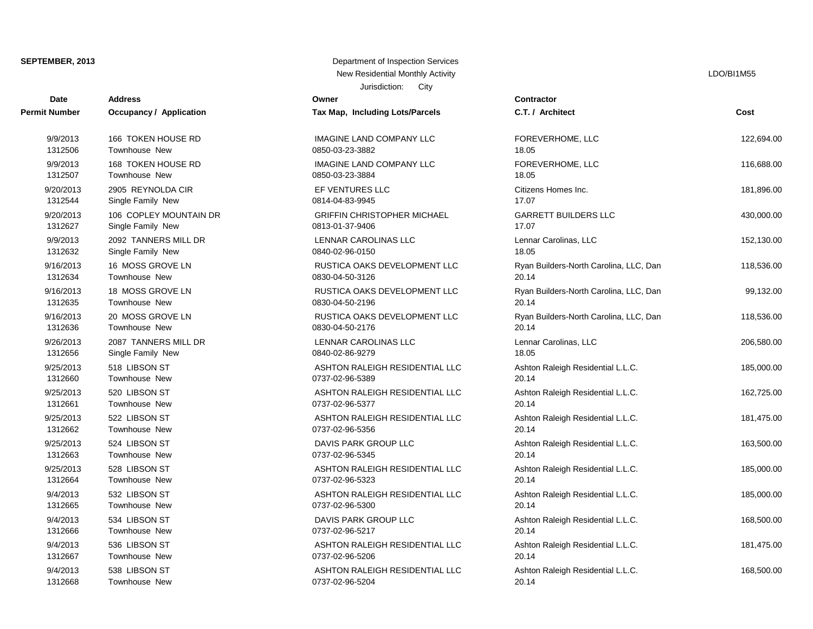## **SEPTEMBER, 2013** Department of Inspection Services

| City<br>Jurisdiction: |                                |                                    |                                        |            |
|-----------------------|--------------------------------|------------------------------------|----------------------------------------|------------|
| Date                  | <b>Address</b>                 | Owner                              | Contractor                             | Cost       |
| <b>Permit Number</b>  | <b>Occupancy / Application</b> | Tax Map, Including Lots/Parcels    | C.T. / Architect                       |            |
|                       |                                |                                    |                                        |            |
| 9/9/2013              | 166 TOKEN HOUSE RD             | IMAGINE LAND COMPANY LLC           | FOREVERHOME, LLC                       | 122,694.00 |
| 1312506               | Townhouse New                  | 0850-03-23-3882                    | 18.05                                  |            |
| 9/9/2013              | 168 TOKEN HOUSE RD             | <b>IMAGINE LAND COMPANY LLC</b>    | FOREVERHOME, LLC                       | 116,688.00 |
| 1312507               | Townhouse New                  | 0850-03-23-3884                    | 18.05                                  |            |
| 9/20/2013             | 2905 REYNOLDA CIR              | EF VENTURES LLC                    | Citizens Homes Inc.                    | 181,896.00 |
| 1312544               | Single Family New              | 0814-04-83-9945                    | 17.07                                  |            |
| 9/20/2013             | 106 COPLEY MOUNTAIN DR         | <b>GRIFFIN CHRISTOPHER MICHAEL</b> | <b>GARRETT BUILDERS LLC</b>            | 430,000.00 |
| 1312627               | Single Family New              | 0813-01-37-9406                    | 17.07                                  |            |
| 9/9/2013              | 2092 TANNERS MILL DR           | LENNAR CAROLINAS LLC               | Lennar Carolinas, LLC                  | 152,130.00 |
| 1312632               | Single Family New              | 0840-02-96-0150                    | 18.05                                  |            |
| 9/16/2013             | 16 MOSS GROVE LN               | RUSTICA OAKS DEVELOPMENT LLC       | Ryan Builders-North Carolina, LLC, Dan | 118,536.00 |
| 1312634               | Townhouse New                  | 0830-04-50-3126                    | 20.14                                  |            |
| 9/16/2013             | 18 MOSS GROVE LN               | RUSTICA OAKS DEVELOPMENT LLC       | Ryan Builders-North Carolina, LLC, Dan | 99,132.00  |
| 1312635               | Townhouse New                  | 0830-04-50-2196                    | 20.14                                  |            |
| 9/16/2013             | 20 MOSS GROVE LN               | RUSTICA OAKS DEVELOPMENT LLC       | Ryan Builders-North Carolina, LLC, Dan | 118,536.00 |
| 1312636               | Townhouse New                  | 0830-04-50-2176                    | 20.14                                  |            |
| 9/26/2013             | 2087 TANNERS MILL DR           | LENNAR CAROLINAS LLC               | Lennar Carolinas, LLC                  | 206,580.00 |
| 1312656               | Single Family New              | 0840-02-86-9279                    | 18.05                                  |            |
| 9/25/2013             | 518 LIBSON ST                  | ASHTON RALEIGH RESIDENTIAL LLC     | Ashton Raleigh Residential L.L.C.      | 185,000.00 |
| 1312660               | Townhouse New                  | 0737-02-96-5389                    | 20.14                                  |            |
| 9/25/2013             | 520 LIBSON ST                  | ASHTON RALEIGH RESIDENTIAL LLC     | Ashton Raleigh Residential L.L.C.      | 162,725.00 |
| 1312661               | Townhouse New                  | 0737-02-96-5377                    | 20.14                                  |            |
| 9/25/2013             | 522 LIBSON ST                  | ASHTON RALEIGH RESIDENTIAL LLC     | Ashton Raleigh Residential L.L.C.      | 181,475.00 |
| 1312662               | Townhouse New                  | 0737-02-96-5356                    | 20.14                                  |            |
| 9/25/2013             | 524 LIBSON ST                  | DAVIS PARK GROUP LLC               | Ashton Raleigh Residential L.L.C.      | 163,500.00 |
| 1312663               | Townhouse New                  | 0737-02-96-5345                    | 20.14                                  |            |
| 9/25/2013             | 528 LIBSON ST                  | ASHTON RALEIGH RESIDENTIAL LLC     | Ashton Raleigh Residential L.L.C.      | 185,000.00 |
| 1312664               | Townhouse New                  | 0737-02-96-5323                    | 20.14                                  |            |
| 9/4/2013              | 532 LIBSON ST                  | ASHTON RALEIGH RESIDENTIAL LLC     | Ashton Raleigh Residential L.L.C.      | 185,000.00 |
| 1312665               | Townhouse New                  | 0737-02-96-5300                    | 20.14                                  |            |
| 9/4/2013              | 534 LIBSON ST                  | DAVIS PARK GROUP LLC               | Ashton Raleigh Residential L.L.C.      | 168,500.00 |
| 1312666               | Townhouse New                  | 0737-02-96-5217                    | 20.14                                  |            |
| 9/4/2013              | 536 LIBSON ST                  | ASHTON RALEIGH RESIDENTIAL LLC     | Ashton Raleigh Residential L.L.C.      | 181,475.00 |
| 1312667               | Townhouse New                  | 0737-02-96-5206                    | 20.14                                  |            |
| 9/4/2013              | 538 LIBSON ST                  | ASHTON RALEIGH RESIDENTIAL LLC     | Ashton Raleigh Residential L.L.C.      | 168,500.00 |
| 1312668               | Townhouse New                  | 0737-02-96-5204                    | 20.14                                  |            |

| New Residential Monthly Activity<br>Jurisdiction:<br>City | LDO/BI1M55                           |      |
|-----------------------------------------------------------|--------------------------------------|------|
| ۹r                                                        | <b>Contractor</b>                    |      |
| lap, Including Lots/Parcels                               | C.T. / Architect                     | Cost |
| SINE LAND COMPANY LLC<br>03-23-3882                       | FOREVERHOME, LLC<br>18.05            | 122, |
| <b>SINE LAND COMPANY LLC</b><br>03-23-3884                | FOREVERHOME, LLC<br>18.05            | 116, |
| <b>ENTURES LLC</b><br>04-83-9945                          | Citizens Homes Inc.<br>17.07         | 181, |
| FIN CHRISTOPHER MICHAEL<br>01-37-9406                     | <b>GARRETT BUILDERS LLC</b><br>17.07 | 430, |
| VAR CAROLINAS LLC<br>02.06.0150                           | Lennar Carolinas, LLC<br>10 O.F.     | 152. |

| <b>FUREVERHUIVIE, LLU</b><br>18.05              | 110,000.00 |
|-------------------------------------------------|------------|
| Citizens Homes Inc.<br>17.07                    | 181,896.00 |
| <b>GARRETT BUILDERS LLC</b><br>17.07            | 430,000.00 |
| Lennar Carolinas, LLC<br>18.05                  | 152,130.00 |
| Ryan Builders-North Carolina, LLC, Dan<br>20.14 | 118,536.00 |
| Ryan Builders-North Carolina, LLC, Dan<br>20.14 | 99,132.00  |
| Ryan Builders-North Carolina, LLC, Dan<br>20.14 | 118,536.00 |
| Lennar Carolinas, LLC<br>18.05                  | 206,580.00 |
| Ashton Raleigh Residential L.L.C.<br>20.14      | 185,000.00 |
| Ashton Raleigh Residential L.L.C.<br>20.14      | 162,725.00 |
| Ashton Raleigh Residential L.L.C.<br>20.14      | 181,475.00 |
| Ashton Raleigh Residential L.L.C.<br>20.14      | 163,500.00 |
| Ashton Raleigh Residential L.L.C.<br>20.14      | 185,000.00 |
| Ashton Raleigh Residential L.L.C.<br>20.14      | 185,000.00 |
| Ashton Raleigh Residential L.L.C.<br>20.14      | 168,500.00 |
| Ashton Raleigh Residential L.L.C.<br>20.14      | 181,475.00 |
| Ashton Raleigh Residential L.L.C.               | 168,500.00 |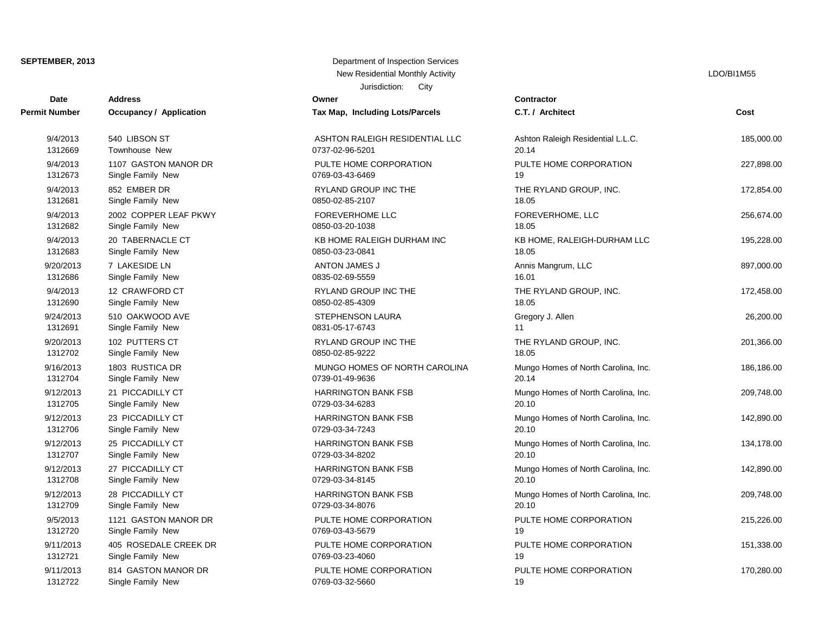# Jurisdiction: City **SEPTEMBER, 2013** Department of Inspection Services New Residential Monthly Activity **LACTION** CONSERVITY ASSESSMENT RESIDENTS ARRAIGNMENT RESIDENTS AND LOOK AND LOOK

|                      |                                | JUISUILIUII. LIIV               |                 |
|----------------------|--------------------------------|---------------------------------|-----------------|
| <b>Date</b>          | <b>Address</b>                 | Owner                           | Contractor      |
| <b>Permit Number</b> | <b>Occupancy / Application</b> | Tax Map, Including Lots/Parcels | C.T. / Arch     |
| 9/4/2013             | 540 LIBSON ST                  | ASHTON RALEIGH RESIDENTIAL LLC  | Ashton Rak      |
| 1312669              | <b>Townhouse New</b>           | 0737-02-96-5201                 | 20.14           |
| 9/4/2013             | 1107 GASTON MANOR DR           | PULTE HOME CORPORATION          | PULTE HO        |
| 1312673              | Single Family New              | 0769-03-43-6469                 | 19              |
| 9/4/2013             | 852 EMBER DR                   | RYLAND GROUP INC THE            | <b>THE RYLA</b> |
| 1312681              | Single Family New              | 0850-02-85-2107                 | 18.05           |
| 9/4/2013             | 2002 COPPER LEAF PKWY          | <b>FOREVERHOME LLC</b>          | <b>FOREVERI</b> |
| 1312682              | Single Family New              | 0850-03-20-1038                 | 18.05           |
| 9/4/2013             | 20 TABERNACLE CT               | KB HOME RALEIGH DURHAM INC      | KB HOME,        |
| 1312683              | Single Family New              | 0850-03-23-0841                 | 18.05           |
| 9/20/2013            | 7 LAKESIDE LN                  | ANTON JAMES J                   | Annis Mang      |
| 1312686              | Single Family New              | 0835-02-69-5559                 | 16.01           |
| 9/4/2013             | 12 CRAWFORD CT                 | RYLAND GROUP INC THE            | <b>THE RYLA</b> |
| 1312690              | Single Family New              | 0850-02-85-4309                 | 18.05           |
| 9/24/2013            | 510 OAKWOOD AVE                | <b>STEPHENSON LAURA</b>         | Gregory J.      |
| 1312691              | Single Family New              | 0831-05-17-6743                 | 11              |
| 9/20/2013            | 102 PUTTERS CT                 | RYLAND GROUP INC THE            | <b>THE RYLA</b> |
| 1312702              | Single Family New              | 0850-02-85-9222                 | 18.05           |
| 9/16/2013            | 1803 RUSTICA DR                | MUNGO HOMES OF NORTH CAROLINA   | Mungo Hon       |
| 1312704              | Single Family New              | 0739-01-49-9636                 | 20.14           |
| 9/12/2013            | 21 PICCADILLY CT               | <b>HARRINGTON BANK FSB</b>      | Mungo Hon       |
| 1312705              | Single Family New              | 0729-03-34-6283                 | 20.10           |
| 9/12/2013            | 23 PICCADILLY CT               | <b>HARRINGTON BANK FSB</b>      | Mungo Hon       |
| 1312706              | Single Family New              | 0729-03-34-7243                 | 20.10           |
| 9/12/2013            | 25 PICCADILLY CT               | <b>HARRINGTON BANK FSB</b>      | Mungo Hon       |
| 1312707              | Single Family New              | 0729-03-34-8202                 | 20.10           |
| 9/12/2013            | 27 PICCADILLY CT               | <b>HARRINGTON BANK FSB</b>      | Mungo Hon       |
| 1312708              | Single Family New              | 0729-03-34-8145                 | 20.10           |
| 9/12/2013            | 28 PICCADILLY CT               | <b>HARRINGTON BANK FSB</b>      | Mungo Hon       |
| 1312709              | Single Family New              | 0729-03-34-8076                 | 20.10           |
| 9/5/2013             | 1121 GASTON MANOR DR           | PULTE HOME CORPORATION          | PULTE HO        |
| 1312720              | Single Family New              | 0769-03-43-5679                 | 19              |
| 9/11/2013            | 405 ROSEDALE CREEK DR          | PULTE HOME CORPORATION          | PULTE HO        |
| 1312721              | Single Family New              | 0769-03-23-4060                 | 19              |
| 9/11/2013            | 814 GASTON MANOR DR            | PULTE HOME CORPORATION          | PULTE HO        |
| 1212722              | Cingle Family Now              | 0700.02.22 ECCO                 | $10^{-7}$       |

| t Number  | Occupancy / Application | Tax Map, Including Lots/Parcels | C.1       |
|-----------|-------------------------|---------------------------------|-----------|
| 9/4/2013  | 540 LIBSON ST           | ASHTON RALEIGH RESIDENTIAL LLC  | Asl       |
| 1312669   | Townhouse New           | 0737-02-96-5201                 | 20.       |
| 9/4/2013  | 1107 GASTON MANOR DR    | PULTE HOME CORPORATION          | PU        |
| 1312673   | Single Family New       | 0769-03-43-6469                 | 19        |
| 9/4/2013  | 852 EMBER DR            | RYLAND GROUP INC THE            | <b>TH</b> |
| 1312681   | Single Family New       | 0850-02-85-2107                 | 18.       |
| 9/4/2013  | 2002 COPPER LEAF PKWY   | <b>FOREVERHOME LLC</b>          | <b>FO</b> |
| 1312682   | Single Family New       | 0850-03-20-1038                 | 18.       |
| 9/4/2013  | 20 TABERNACLE CT        | KB HOME RALEIGH DURHAM INC      | KB        |
| 1312683   | Single Family New       | 0850-03-23-0841                 | 18.       |
| 9/20/2013 | 7 LAKESIDE LN           | ANTON JAMES J                   | Anı       |
| 1312686   | Single Family New       | 0835-02-69-5559                 | 16.       |
| 9/4/2013  | 12 CRAWFORD CT          | RYLAND GROUP INC THE            | <b>TH</b> |
| 1312690   | Single Family New       | 0850-02-85-4309                 | 18.       |
| 9/24/2013 | 510 OAKWOOD AVE         | STEPHENSON LAURA                | Gre       |
| 1312691   | Single Family New       | 0831-05-17-6743                 | 11        |
| 9/20/2013 | 102 PUTTERS CT          | RYLAND GROUP INC THE            | <b>TH</b> |
| 1312702   | Single Family New       | 0850-02-85-9222                 | 18.       |
| 9/16/2013 | 1803 RUSTICA DR         | MUNGO HOMES OF NORTH CAROLINA   | Mu        |
| 1312704   | Single Family New       | 0739-01-49-9636                 | 20.       |
| 9/12/2013 | 21 PICCADILLY CT        | <b>HARRINGTON BANK FSB</b>      | Mu        |
| 1312705   | Single Family New       | 0729-03-34-6283                 | 20.       |
| 9/12/2013 | 23 PICCADILLY CT        | <b>HARRINGTON BANK FSB</b>      | Mu        |
| 1312706   | Single Family New       | 0729-03-34-7243                 | 20.       |
| 9/12/2013 | 25 PICCADILLY CT        | <b>HARRINGTON BANK FSB</b>      | Mu        |
| 1312707   | Single Family New       | 0729-03-34-8202                 | 20.       |
| 9/12/2013 | 27 PICCADILLY CT        | <b>HARRINGTON BANK FSB</b>      | Mu        |
| 1312708   | Single Family New       | 0729-03-34-8145                 | 20.       |
| 9/12/2013 | 28 PICCADILLY CT        | <b>HARRINGTON BANK FSB</b>      | Mu        |
| 1312709   | Single Family New       | 0729-03-34-8076                 | 20.       |
| 9/5/2013  | 1121 GASTON MANOR DR    | PULTE HOME CORPORATION          | PU        |
| 1312720   | Single Family New       | 0769-03-43-5679                 | 19        |
| 9/11/2013 | 405 ROSEDALE CREEK DR   | PULTE HOME CORPORATION          | PU        |
| 1312721   | Single Family New       | 0769-03-23-4060                 | 19        |
| 9/11/2013 | 814 GASTON MANOR DR     | PULTE HOME CORPORATION          | PU        |
| 1312722   | Single Family New       | 0769-03-32-5660                 | 19        |

| Date          | <b>Address</b>                 | Owner                           | Contractor                          |            |
|---------------|--------------------------------|---------------------------------|-------------------------------------|------------|
| Permit Number | <b>Occupancy / Application</b> | Tax Map, Including Lots/Parcels | C.T. / Architect                    | Cost       |
| 9/4/2013      | 540 LIBSON ST                  | ASHTON RALEIGH RESIDENTIAL LLC  | Ashton Raleigh Residential L.L.C.   | 185,000.00 |
| 1312669       | <b>Townhouse New</b>           | 0737-02-96-5201                 | 20.14                               |            |
| 9/4/2013      | 1107 GASTON MANOR DR           | PULTE HOME CORPORATION          | PULTE HOME CORPORATION              | 227,898.00 |
| 1312673       | Single Family New              | 0769-03-43-6469                 | 19                                  |            |
| 9/4/2013      | 852 EMBER DR                   | RYLAND GROUP INC THE            | THE RYLAND GROUP, INC.              | 172,854.00 |
| 1312681       | Single Family New              | 0850-02-85-2107                 | 18.05                               |            |
| 9/4/2013      | 2002 COPPER LEAF PKWY          | <b>FOREVERHOME LLC</b>          | FOREVERHOME, LLC                    | 256,674.00 |
| 1312682       | Single Family New              | 0850-03-20-1038                 | 18.05                               |            |
| 9/4/2013      | 20 TABERNACLE CT               | KB HOME RALEIGH DURHAM INC      | KB HOME, RALEIGH-DURHAM LLC         | 195,228.00 |
| 1312683       | Single Family New              | 0850-03-23-0841                 | 18.05                               |            |
| 9/20/2013     | 7 LAKESIDE LN                  | ANTON JAMES J                   | Annis Mangrum, LLC                  | 897,000.00 |
| 1312686       | Single Family New              | 0835-02-69-5559                 | 16.01                               |            |
| 9/4/2013      | 12 CRAWFORD CT                 | RYLAND GROUP INC THE            | THE RYLAND GROUP, INC.              | 172,458.00 |
| 1312690       | Single Family New              | 0850-02-85-4309                 | 18.05                               |            |
| 9/24/2013     | 510 OAKWOOD AVE                | STEPHENSON LAURA                | Gregory J. Allen                    | 26,200.00  |
| 1312691       | Single Family New              | 0831-05-17-6743                 | 11                                  |            |
| 9/20/2013     | 102 PUTTERS CT                 | <b>RYLAND GROUP INC THE</b>     | THE RYLAND GROUP, INC.              | 201,366.00 |
| 1312702       | Single Family New              | 0850-02-85-9222                 | 18.05                               |            |
| 9/16/2013     | 1803 RUSTICA DR                | MUNGO HOMES OF NORTH CAROLINA   | Mungo Homes of North Carolina, Inc. | 186,186.00 |
| 1312704       | Single Family New              | 0739-01-49-9636                 | 20.14                               |            |
| 9/12/2013     | 21 PICCADILLY CT               | <b>HARRINGTON BANK FSB</b>      | Mungo Homes of North Carolina, Inc. | 209,748.00 |
| 1312705       | Single Family New              | 0729-03-34-6283                 | 20.10                               |            |
| 9/12/2013     | 23 PICCADILLY CT               | <b>HARRINGTON BANK FSB</b>      | Mungo Homes of North Carolina, Inc. | 142,890.00 |
| 1312706       | Single Family New              | 0729-03-34-7243                 | 20.10                               |            |
| 9/12/2013     | 25 PICCADILLY CT               | <b>HARRINGTON BANK FSB</b>      | Mungo Homes of North Carolina, Inc. | 134,178.00 |
| 1312707       | Single Family New              | 0729-03-34-8202                 | 20.10                               |            |
| 9/12/2013     | 27 PICCADILLY CT               | <b>HARRINGTON BANK FSB</b>      | Mungo Homes of North Carolina, Inc. | 142,890.00 |
| 1312708       | Single Family New              | 0729-03-34-8145                 | 20.10                               |            |
| 9/12/2013     | 28 PICCADILLY CT               | <b>HARRINGTON BANK FSB</b>      | Mungo Homes of North Carolina, Inc. | 209,748.00 |
| 1312709       | Single Family New              | 0729-03-34-8076                 | 20.10                               |            |
| 9/5/2013      | 1121 GASTON MANOR DR           | PULTE HOME CORPORATION          | PULTE HOME CORPORATION              | 215,226.00 |
| 1312720       | Single Family New              | 0769-03-43-5679                 | 19                                  |            |
| 9/11/2013     | 405 ROSEDALE CREEK DR          | PULTE HOME CORPORATION          | PULTE HOME CORPORATION              | 151,338.00 |
| 1312721       | Single Family New              | 0769-03-23-4060                 | 19                                  |            |
| 9/11/2013     | 814 GASTON MANOR DR            | PULTE HOME CORPORATION          | PULTE HOME CORPORATION              | 170,280.00 |
| 1212722       | Cinale Family Now              | 07GO 02.22 EGGO                 | 10 <sup>1</sup>                     |            |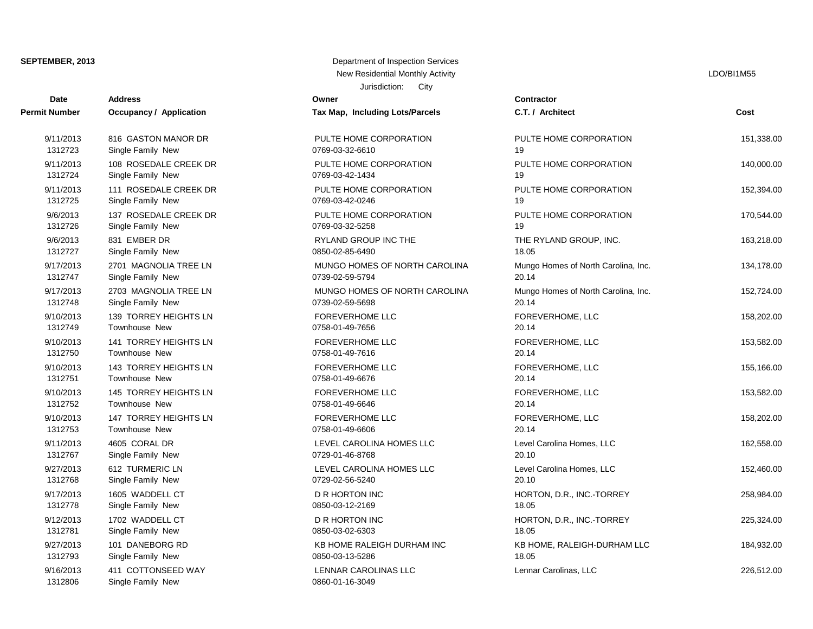| <b>Date</b>          | <b>Address</b>                 | Owner                           | Contractor         |
|----------------------|--------------------------------|---------------------------------|--------------------|
| <b>Permit Number</b> | <b>Occupancy / Application</b> | Tax Map, Including Lots/Parcels | C.T. / Arch        |
| 9/11/2013            | 816 GASTON MANOR DR            | PULTE HOME CORPORATION          | PULTE HO           |
| 1312723              | Single Family New              | 0769-03-32-6610                 | 19                 |
| 9/11/2013            | 108 ROSEDALE CREEK DR          | PULTE HOME CORPORATION          | PULTE HO           |
| 1312724              | Single Family New              | 0769-03-42-1434                 | 19                 |
| 9/11/2013            | 111 ROSEDALE CREEK DR          | PULTE HOME CORPORATION          | PULTE HO           |
| 1312725              | Single Family New              | 0769-03-42-0246                 | 19                 |
| 9/6/2013             | 137 ROSEDALE CREEK DR          | PULTE HOME CORPORATION          | PULTE HO           |
| 1312726              | Single Family New              | 0769-03-32-5258                 | 19                 |
| 9/6/2013             | 831 EMBER DR                   | <b>RYLAND GROUP INC THE</b>     | THE RYLAI          |
| 1312727              | Single Family New              | 0850-02-85-6490                 | 18.05              |
| 9/17/2013            | 2701 MAGNOLIA TREE LN          | MUNGO HOMES OF NORTH CAROLINA   | Mungo Hon          |
| 1312747              | Single Family New              | 0739-02-59-5794                 | 20.14              |
| 9/17/2013            | 2703 MAGNOLIA TREE LN          | MUNGO HOMES OF NORTH CAROLINA   | Mungo Hon          |
| 1312748              | Single Family New              | 0739-02-59-5698                 | 20.14              |
| 9/10/2013            | 139 TORREY HEIGHTS LN          | <b>FOREVERHOME LLC</b>          | <b>FOREVERI</b>    |
| 1312749              | Townhouse New                  | 0758-01-49-7656                 | 20.14              |
| 9/10/2013            | 141 TORREY HEIGHTS LN          | <b>FOREVERHOME LLC</b>          | <b>FOREVERI</b>    |
| 1312750              | <b>Townhouse New</b>           | 0758-01-49-7616                 | 20.14              |
| 9/10/2013            | 143 TORREY HEIGHTS LN          | <b>FOREVERHOME LLC</b>          | <b>FOREVERI</b>    |
| 1312751              | Townhouse New                  | 0758-01-49-6676                 | 20.14              |
| 9/10/2013            | 145 TORREY HEIGHTS LN          | <b>FOREVERHOME LLC</b>          | <b>FOREVERI</b>    |
| 1312752              | Townhouse New                  | 0758-01-49-6646                 | 20.14              |
| 9/10/2013            | 147 TORREY HEIGHTS LN          | <b>FOREVERHOME LLC</b>          | <b>FOREVERI</b>    |
| 1312753              | <b>Townhouse New</b>           | 0758-01-49-6606                 | 20.14              |
| 9/11/2013            | 4605 CORAL DR                  | LEVEL CAROLINA HOMES LLC        | <b>Level Carol</b> |
| 1312767              | Single Family New              | 0729-01-46-8768                 | 20.10              |
| 9/27/2013            | 612 TURMERIC LN                | LEVEL CAROLINA HOMES LLC        | <b>Level Carol</b> |
| 1312768              | Single Family New              | 0729-02-56-5240                 | 20.10              |
| 9/17/2013            | 1605 WADDELL CT                | <b>D R HORTON INC</b>           | HORTON,            |
| 1312778              | Single Family New              | 0850-03-12-2169                 | 18.05              |
| 9/12/2013            | 1702 WADDELL CT                | <b>D R HORTON INC</b>           | HORTON,            |
| 1312781              | Single Family New              | 0850-03-02-6303                 | 18.05              |
| 9/27/2013            | 101 DANEBORG RD                | KB HOME RALEIGH DURHAM INC      | KB HOME,           |
| 1312793              | Single Family New              | 0850-03-13-5286                 | 18.05              |
| 9/16/2013            | 411 COTTONSEED WAY             | LENNAR CAROLINAS LLC            | Lennar Car         |
| 1312806              | Single Family New              | 0860-01-16-3049                 |                    |

| SEPTEMBER, 2013 | Department of Inspection Services |
|-----------------|-----------------------------------|
|                 | New Residential Monthly Activity  |
|                 | City<br>Jurisdiction:             |

LDO/BI1M55

| Date      | <b>Address</b>                 | Owner                           | <b>Contractor</b>                   |            |
|-----------|--------------------------------|---------------------------------|-------------------------------------|------------|
| t Number  | <b>Occupancy / Application</b> | Tax Map, Including Lots/Parcels | C.T. / Architect                    | Cost       |
| 9/11/2013 | 816 GASTON MANOR DR            | PULTE HOME CORPORATION          | PULTE HOME CORPORATION              | 151,338.00 |
| 1312723   | Single Family New              | 0769-03-32-6610                 | 19                                  |            |
| 9/11/2013 | 108 ROSEDALE CREEK DR          | PULTE HOME CORPORATION          | PULTE HOME CORPORATION              | 140,000.00 |
| 1312724   | Single Family New              | 0769-03-42-1434                 | 19                                  |            |
| 9/11/2013 | 111 ROSEDALE CREEK DR          | PULTE HOME CORPORATION          | PULTE HOME CORPORATION              | 152,394.00 |
| 1312725   | Single Family New              | 0769-03-42-0246                 | 19                                  |            |
| 9/6/2013  | 137 ROSEDALE CREEK DR          | PULTE HOME CORPORATION          | PULTE HOME CORPORATION              | 170,544.00 |
| 1312726   | Single Family New              | 0769-03-32-5258                 | 19                                  |            |
| 9/6/2013  | 831 EMBER DR                   | RYLAND GROUP INC THE            | THE RYLAND GROUP, INC.              | 163,218.00 |
| 1312727   | Single Family New              | 0850-02-85-6490                 | 18.05                               |            |
| 9/17/2013 | 2701 MAGNOLIA TREE LN          | MUNGO HOMES OF NORTH CAROLINA   | Mungo Homes of North Carolina, Inc. | 134,178.00 |
| 1312747   | Single Family New              | 0739-02-59-5794                 | 20.14                               |            |
| 9/17/2013 | 2703 MAGNOLIA TREE LN          | MUNGO HOMES OF NORTH CAROLINA   | Mungo Homes of North Carolina, Inc. | 152,724.00 |
| 1312748   | Single Family New              | 0739-02-59-5698                 | 20.14                               |            |
| 9/10/2013 | 139 TORREY HEIGHTS LN          | <b>FOREVERHOME LLC</b>          | FOREVERHOME, LLC                    | 158,202.00 |
| 1312749   | <b>Townhouse New</b>           | 0758-01-49-7656                 | 20.14                               |            |
| 9/10/2013 | 141 TORREY HEIGHTS LN          | <b>FOREVERHOME LLC</b>          | FOREVERHOME, LLC                    | 153,582.00 |
| 1312750   | Townhouse New                  | 0758-01-49-7616                 | 20.14                               |            |
| 9/10/2013 | 143 TORREY HEIGHTS LN          | <b>FOREVERHOME LLC</b>          | FOREVERHOME, LLC                    | 155,166.00 |
| 1312751   | <b>Townhouse New</b>           | 0758-01-49-6676                 | 20.14                               |            |
| 9/10/2013 | 145 TORREY HEIGHTS LN          | <b>FOREVERHOME LLC</b>          | FOREVERHOME, LLC                    | 153,582.00 |
| 1312752   | <b>Townhouse New</b>           | 0758-01-49-6646                 | 20.14                               |            |
| 9/10/2013 | 147 TORREY HEIGHTS LN          | <b>FOREVERHOME LLC</b>          | FOREVERHOME, LLC                    | 158,202.00 |
| 1312753   | Townhouse New                  | 0758-01-49-6606                 | 20.14                               |            |
| 9/11/2013 | 4605 CORAL DR                  | LEVEL CAROLINA HOMES LLC        | Level Carolina Homes, LLC           | 162,558.00 |
| 1312767   | Single Family New              | 0729-01-46-8768                 | 20.10                               |            |
| 9/27/2013 | 612 TURMERIC LN                | LEVEL CAROLINA HOMES LLC        | Level Carolina Homes, LLC           | 152,460.00 |
| 1312768   | Single Family New              | 0729-02-56-5240                 | 20.10                               |            |
| 9/17/2013 | 1605 WADDELL CT                | D R HORTON INC                  | HORTON, D.R., INC.-TORREY           | 258,984.00 |
| 1312778   | Single Family New              | 0850-03-12-2169                 | 18.05                               |            |
| 9/12/2013 | 1702 WADDELL CT                | D R HORTON INC                  | HORTON, D.R., INC.-TORREY           | 225,324.00 |
| 1312781   | Single Family New              | 0850-03-02-6303                 | 18.05                               |            |
| 9/27/2013 | 101 DANEBORG RD                | KB HOME RALEIGH DURHAM INC      | KB HOME, RALEIGH-DURHAM LLC         | 184,932.00 |
| 1312793   | Single Family New              | 0850-03-13-5286                 | 18.05                               |            |
| 9/16/2013 | 411 COTTONSEED WAY             | LENNAR CAROLINAS LLC            | Lennar Carolinas, LLC               | 226,512.00 |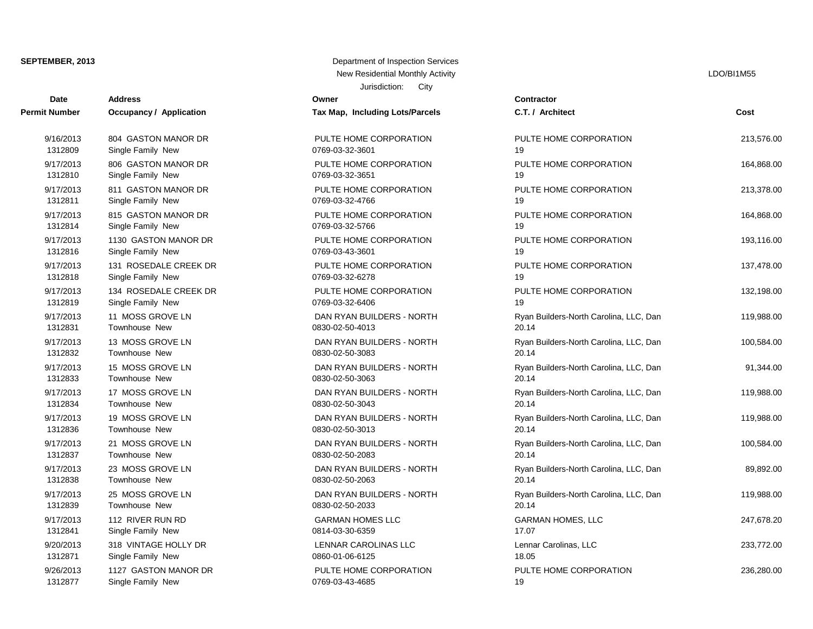| <b>Date</b>          | <b>Address</b>                 | Owner                           | <b>Contractor</b> |
|----------------------|--------------------------------|---------------------------------|-------------------|
| <b>Permit Number</b> | <b>Occupancy / Application</b> | Tax Map, Including Lots/Parcels | C.T. / Arch       |
| 9/16/2013            | 804 GASTON MANOR DR            | PULTE HOME CORPORATION          | PULTE HO          |
| 1312809              | Single Family New              | 0769-03-32-3601                 | 19                |
| 9/17/2013            | 806 GASTON MANOR DR            | PULTE HOME CORPORATION          | PULTE HO          |
| 1312810              | Single Family New              | 0769-03-32-3651                 | 19                |
| 9/17/2013            | 811 GASTON MANOR DR            | PULTE HOME CORPORATION          | PULTE HO          |
| 1312811              | Single Family New              | 0769-03-32-4766                 | 19                |
| 9/17/2013            | 815 GASTON MANOR DR            | PULTE HOME CORPORATION          | PULTE HO          |
| 1312814              | Single Family New              | 0769-03-32-5766                 | 19                |
| 9/17/2013            | 1130 GASTON MANOR DR           | PULTE HOME CORPORATION          | PULTE HO          |
| 1312816              | Single Family New              | 0769-03-43-3601                 | 19                |
| 9/17/2013            | 131 ROSEDALE CREEK DR          | PULTE HOME CORPORATION          | PULTE HO          |
| 1312818              | Single Family New              | 0769-03-32-6278                 | 19                |
| 9/17/2013            | 134 ROSEDALE CREEK DR          | PULTE HOME CORPORATION          | PULTE HO          |
| 1312819              | Single Family New              | 0769-03-32-6406                 | 19                |
| 9/17/2013            | 11 MOSS GROVE LN               | DAN RYAN BUILDERS - NORTH       | Ryan Build        |
| 1312831              | Townhouse New                  | 0830-02-50-4013                 | 20.14             |
| 9/17/2013            | 13 MOSS GROVE LN               | DAN RYAN BUILDERS - NORTH       | Ryan Build        |
| 1312832              | <b>Townhouse New</b>           | 0830-02-50-3083                 | 20.14             |
| 9/17/2013            | 15 MOSS GROVE LN               | DAN RYAN BUILDERS - NORTH       | Ryan Build        |
| 1312833              | <b>Townhouse New</b>           | 0830-02-50-3063                 | 20.14             |
| 9/17/2013            | 17 MOSS GROVE LN               | DAN RYAN BUILDERS - NORTH       | Ryan Build        |
| 1312834              | <b>Townhouse New</b>           | 0830-02-50-3043                 | 20.14             |
| 9/17/2013            | 19 MOSS GROVE LN               | DAN RYAN BUILDERS - NORTH       | Ryan Build        |
| 1312836              | <b>Townhouse New</b>           | 0830-02-50-3013                 | 20.14             |
| 9/17/2013            | 21 MOSS GROVE LN               | DAN RYAN BUILDERS - NORTH       | Ryan Builde       |
| 1312837              | Townhouse New                  | 0830-02-50-2083                 | 20.14             |
| 9/17/2013            | 23 MOSS GROVE LN               | DAN RYAN BUILDERS - NORTH       | Ryan Build        |
| 1312838              | <b>Townhouse New</b>           | 0830-02-50-2063                 | 20.14             |
| 9/17/2013            | 25 MOSS GROVE LN               | DAN RYAN BUILDERS - NORTH       | Ryan Build        |
| 1312839              | <b>Townhouse New</b>           | 0830-02-50-2033                 | 20.14             |
| 9/17/2013            | 112 RIVER RUN RD               | <b>GARMAN HOMES LLC</b>         | <b>GARMAN</b> H   |
| 1312841              | Single Family New              | 0814-03-30-6359                 | 17.07             |
| 9/20/2013            | 318 VINTAGE HOLLY DR           | LENNAR CAROLINAS LLC            | Lennar Car        |
| 1312871              | Single Family New              | 0860-01-06-6125                 | 18.05             |
| 9/26/2013            | 1127 GASTON MANOR DR           | PULTE HOME CORPORATION          | PULTE HO          |
| 1312877              | Single Family New              | 0769-03-43-4685                 | 19                |

## Jurisdiction: City **SEPTEMBER, 2013** Department of Inspection Services New Residential Monthly Activity **LACTION** CONSULTER THE RESIDENT OF THE RESIDENT OF THE RESIDENT OF THE RESIDENT OF THE RESIDENT OF THE RESIDENT OF THE RESIDENT OF THE RESIDENT OF THE RESIDENT OF THE RESIDENT OF THE RESID

| Contractor                                      |            |
|-------------------------------------------------|------------|
| C.T. / Architect                                | Cost       |
| PULTE HOME CORPORATION<br>19                    | 213,576.00 |
| PULTE HOME CORPORATION<br>19                    | 164,868.00 |
| PULTE HOME CORPORATION<br>19                    | 213,378.00 |
| PULTE HOME CORPORATION<br>19                    | 164,868.00 |
| PULTE HOME CORPORATION<br>19                    | 193,116.00 |
| PULTE HOME CORPORATION<br>19                    | 137,478.00 |
| PULTE HOME CORPORATION<br>19                    | 132,198.00 |
| Ryan Builders-North Carolina, LLC, Dan<br>20.14 | 119,988.00 |
| Ryan Builders-North Carolina, LLC, Dan<br>20.14 | 100,584.00 |
| Ryan Builders-North Carolina, LLC, Dan<br>20.14 | 91,344.00  |
| Ryan Builders-North Carolina, LLC, Dan<br>20.14 | 119,988.00 |
| Ryan Builders-North Carolina, LLC, Dan<br>20.14 | 119,988.00 |
| Ryan Builders-North Carolina, LLC, Dan<br>20.14 | 100,584.00 |
| Ryan Builders-North Carolina, LLC, Dan<br>20.14 | 89,892.00  |
| Ryan Builders-North Carolina, LLC, Dan<br>20.14 | 119,988.00 |
| GARMAN HOMES, LLC<br>17.07                      | 247,678.20 |
| Lennar Carolinas, LLC<br>18.05                  | 233,772.00 |
| PULTE HOME CORPORATION<br>10                    | 236,280.00 |